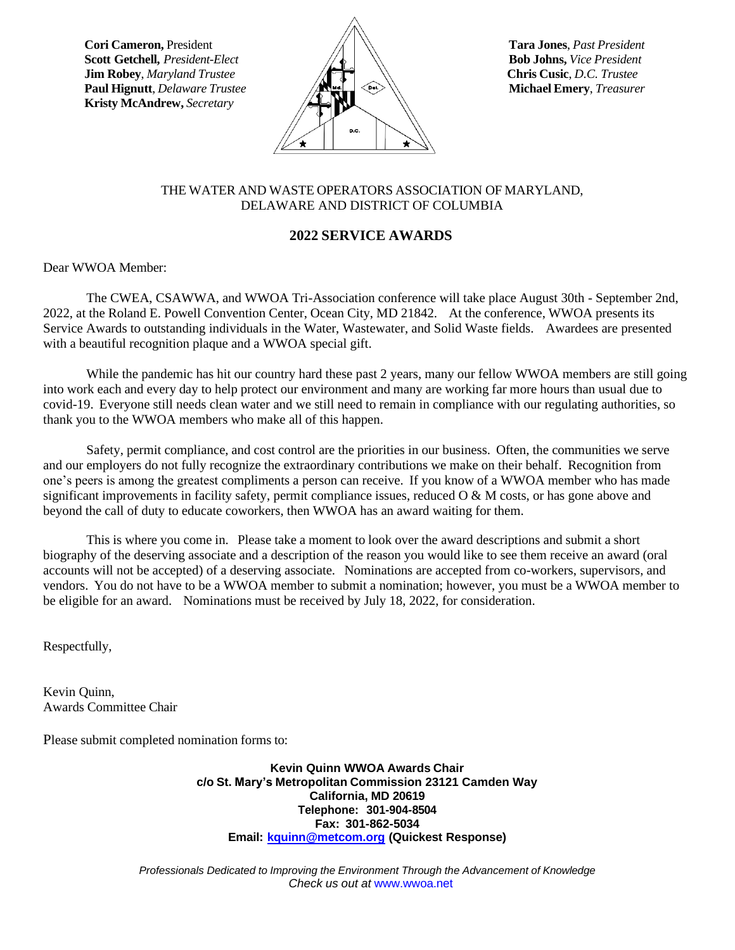**Kristy McAndrew,** *Secretary*



## THE WATER AND WASTE OPERATORS ASSOCIATION OF MARYLAND, DELAWARE AND DISTRICT OF COLUMBIA

# **2022 SERVICE AWARDS**

Dear WWOA Member:

The CWEA, CSAWWA, and WWOA Tri-Association conference will take place August 30th - September 2nd, 2022, at the Roland E. Powell Convention Center, Ocean City, MD 21842. At the conference, WWOA presents its Service Awards to outstanding individuals in the Water, Wastewater, and Solid Waste fields. Awardees are presented with a beautiful recognition plaque and a WWOA special gift.

While the pandemic has hit our country hard these past 2 years, many our fellow WWOA members are still going into work each and every day to help protect our environment and many are working far more hours than usual due to covid-19. Everyone still needs clean water and we still need to remain in compliance with our regulating authorities, so thank you to the WWOA members who make all of this happen.

Safety, permit compliance, and cost control are the priorities in our business. Often, the communities we serve and our employers do not fully recognize the extraordinary contributions we make on their behalf. Recognition from one's peers is among the greatest compliments a person can receive. If you know of a WWOA member who has made significant improvements in facility safety, permit compliance issues, reduced  $\overline{O} \& M$  costs, or has gone above and beyond the call of duty to educate coworkers, then WWOA has an award waiting for them.

This is where you come in. Please take a moment to look over the award descriptions and submit a short biography of the deserving associate and a description of the reason you would like to see them receive an award (oral accounts will not be accepted) of a deserving associate. Nominations are accepted from co-workers, supervisors, and vendors. You do not have to be a WWOA member to submit a nomination; however, you must be a WWOA member to be eligible for an award. Nominations must be received by July 18, 2022, for consideration.

Respectfully,

Kevin Quinn, Awards Committee Chair

Please submit completed nomination forms to:

**Kevin Quinn WWOA Awards Chair c/o St. Mary's Metropolitan Commission 23121 Camden Way California, MD 20619 Telephone: 301-904-8504 Fax: 301-862-5034 Email: [kquinn@metcom.org](mailto:kquinn@metcom.org) (Quickest Response)**

*Professionals Dedicated to Improving the Environment Through the Advancement of Knowledge Check us out at* [www.wwoa.net](http://www.wwoa.net/)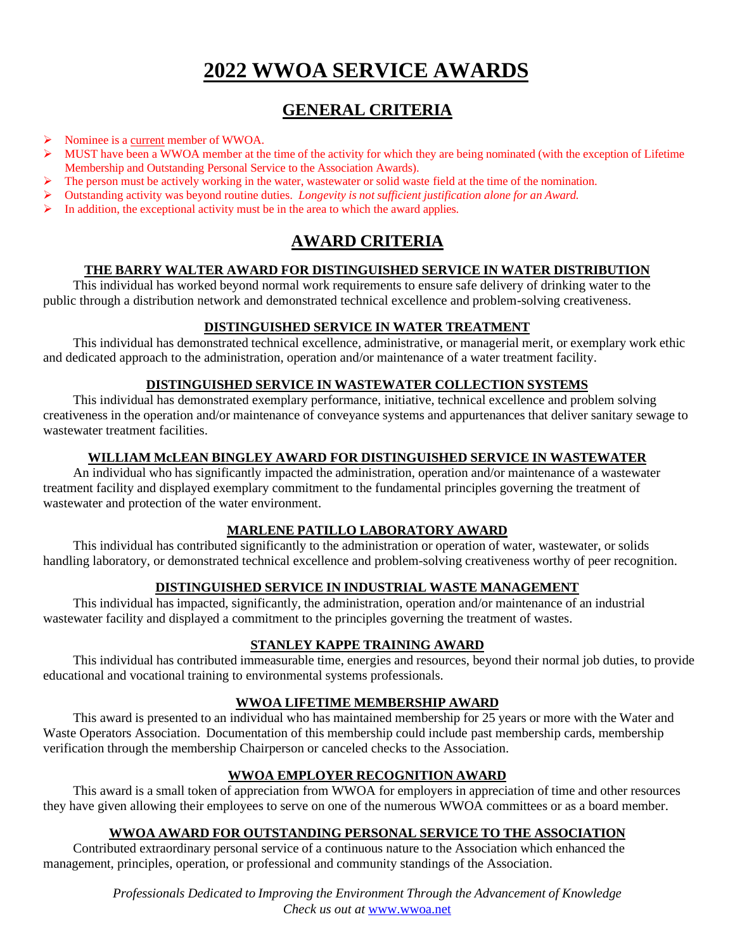# **2022 WWOA SERVICE AWARDS**

# **GENERAL CRITERIA**

- ➢ Nominee is a current member of WWOA.
- $\triangleright$  MUST have been a WWOA member at the time of the activity for which they are being nominated (with the exception of Lifetime Membership and Outstanding Personal Service to the Association Awards).
- The person must be actively working in the water, wastewater or solid waste field at the time of the nomination.
- ➢ Outstanding activity was beyond routine duties. *Longevity is not sufficient justification alone for an Award.*
- In addition, the exceptional activity must be in the area to which the award applies.

# **AWARD CRITERIA**

## **THE BARRY WALTER AWARD FOR DISTINGUISHED SERVICE IN WATER DISTRIBUTION**

This individual has worked beyond normal work requirements to ensure safe delivery of drinking water to the public through a distribution network and demonstrated technical excellence and problem-solving creativeness.

## **DISTINGUISHED SERVICE IN WATER TREATMENT**

This individual has demonstrated technical excellence, administrative, or managerial merit, or exemplary work ethic and dedicated approach to the administration, operation and/or maintenance of a water treatment facility.

## **DISTINGUISHED SERVICE IN WASTEWATER COLLECTION SYSTEMS**

This individual has demonstrated exemplary performance, initiative, technical excellence and problem solving creativeness in the operation and/or maintenance of conveyance systems and appurtenances that deliver sanitary sewage to wastewater treatment facilities.

## **WILLIAM McLEAN BINGLEY AWARD FOR DISTINGUISHED SERVICE IN WASTEWATER**

An individual who has significantly impacted the administration, operation and/or maintenance of a wastewater treatment facility and displayed exemplary commitment to the fundamental principles governing the treatment of wastewater and protection of the water environment.

# **MARLENE PATILLO LABORATORY AWARD**

This individual has contributed significantly to the administration or operation of water, wastewater, or solids handling laboratory, or demonstrated technical excellence and problem-solving creativeness worthy of peer recognition.

# **DISTINGUISHED SERVICE IN INDUSTRIAL WASTE MANAGEMENT**

This individual has impacted, significantly, the administration, operation and/or maintenance of an industrial wastewater facility and displayed a commitment to the principles governing the treatment of wastes.

#### **STANLEY KAPPE TRAINING AWARD**

This individual has contributed immeasurable time, energies and resources, beyond their normal job duties, to provide educational and vocational training to environmental systems professionals.

# **WWOA LIFETIME MEMBERSHIP AWARD**

This award is presented to an individual who has maintained membership for 25 years or more with the Water and Waste Operators Association. Documentation of this membership could include past membership cards, membership verification through the membership Chairperson or canceled checks to the Association.

# **WWOA EMPLOYER RECOGNITION AWARD**

This award is a small token of appreciation from WWOA for employers in appreciation of time and other resources they have given allowing their employees to serve on one of the numerous WWOA committees or as a board member.

#### **WWOA AWARD FOR OUTSTANDING PERSONAL SERVICE TO THE ASSOCIATION**

Contributed extraordinary personal service of a continuous nature to the Association which enhanced the management, principles, operation, or professional and community standings of the Association.

> *Professionals Dedicated to Improving the Environment Through the Advancement of Knowledge Check us out at* [www.wwoa.net](http://www.wwoa.net/)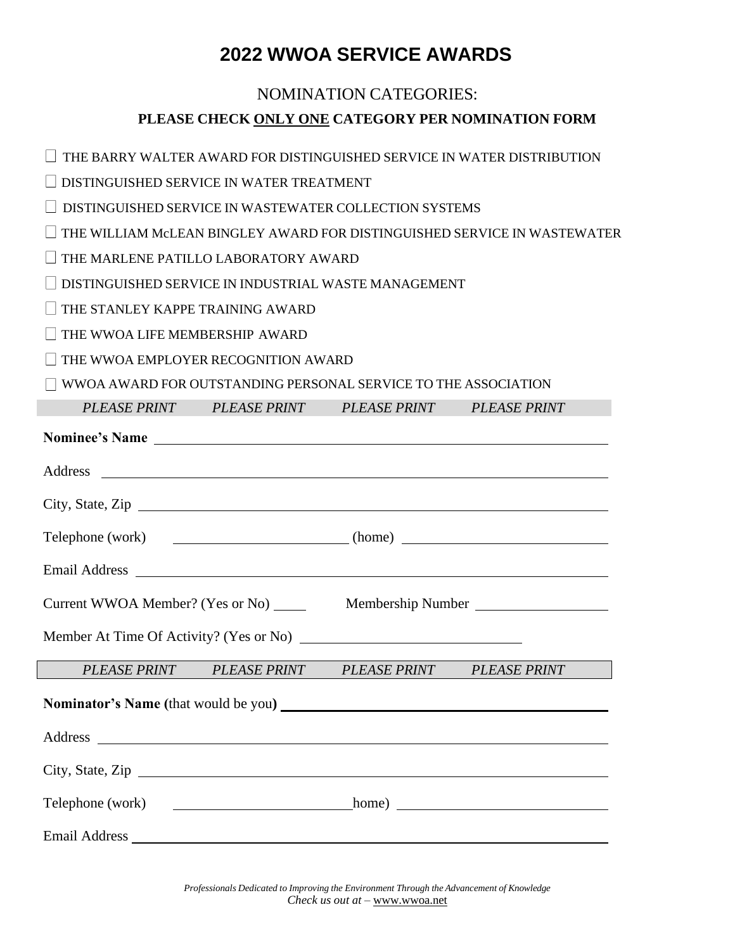# **2022 WWOA SERVICE AWARDS**

# NOMINATION CATEGORIES: **PLEASE CHECK ONLY ONE CATEGORY PER NOMINATION FORM**

 $\Box$  THE BARRY WALTER AWARD FOR DISTINGUISHED SERVICE IN WATER DISTRIBUTION

DISTINGUISHED SERVICE IN WATER TREATMENT

 $\Box$  DISTINGUISHED SERVICE IN WASTEWATER COLLECTION SYSTEMS

 $\Box$  THE WILLIAM McLEAN BINGLEY AWARD FOR DISTINGUISHED SERVICE IN WASTEWATER

THE MARLENE PATILLO LABORATORY AWARD

 $\square$  DISTINGUISHED SERVICE IN INDUSTRIAL WASTE MANAGEMENT

THE STANLEY KAPPE TRAINING AWARD

THE WWOA LIFE MEMBERSHIP AWARD

THE WWOA EMPLOYER RECOGNITION AWARD

WWOA AWARD FOR OUTSTANDING PERSONAL SERVICE TO THE ASSOCIATION

|                                                                                                                                                                                                                                | PLEASE PRINT PLEASE PRINT | PLEASE PRINT PLEASE PRINT                           |  |
|--------------------------------------------------------------------------------------------------------------------------------------------------------------------------------------------------------------------------------|---------------------------|-----------------------------------------------------|--|
| Nominee's Name                                                                                                                                                                                                                 |                           |                                                     |  |
|                                                                                                                                                                                                                                |                           |                                                     |  |
| City, State, Zip                                                                                                                                                                                                               |                           |                                                     |  |
| Telephone (work) _________________________(home) _______________________________                                                                                                                                               |                           |                                                     |  |
| Email Address Land and Society and Society and Society and Society and Society and Society and Society and Society and Society and Society and Society and Society and Society and Society and Society and Society and Society |                           |                                                     |  |
| Current WWOA Member? (Yes or No) _____<br>Membership Number                                                                                                                                                                    |                           |                                                     |  |
|                                                                                                                                                                                                                                |                           |                                                     |  |
|                                                                                                                                                                                                                                |                           | PLEASE PRINT PLEASE PRINT PLEASE PRINT PLEASE PRINT |  |
|                                                                                                                                                                                                                                |                           |                                                     |  |
|                                                                                                                                                                                                                                |                           |                                                     |  |
| City, State, Zip                                                                                                                                                                                                               |                           |                                                     |  |
|                                                                                                                                                                                                                                |                           |                                                     |  |
|                                                                                                                                                                                                                                |                           |                                                     |  |